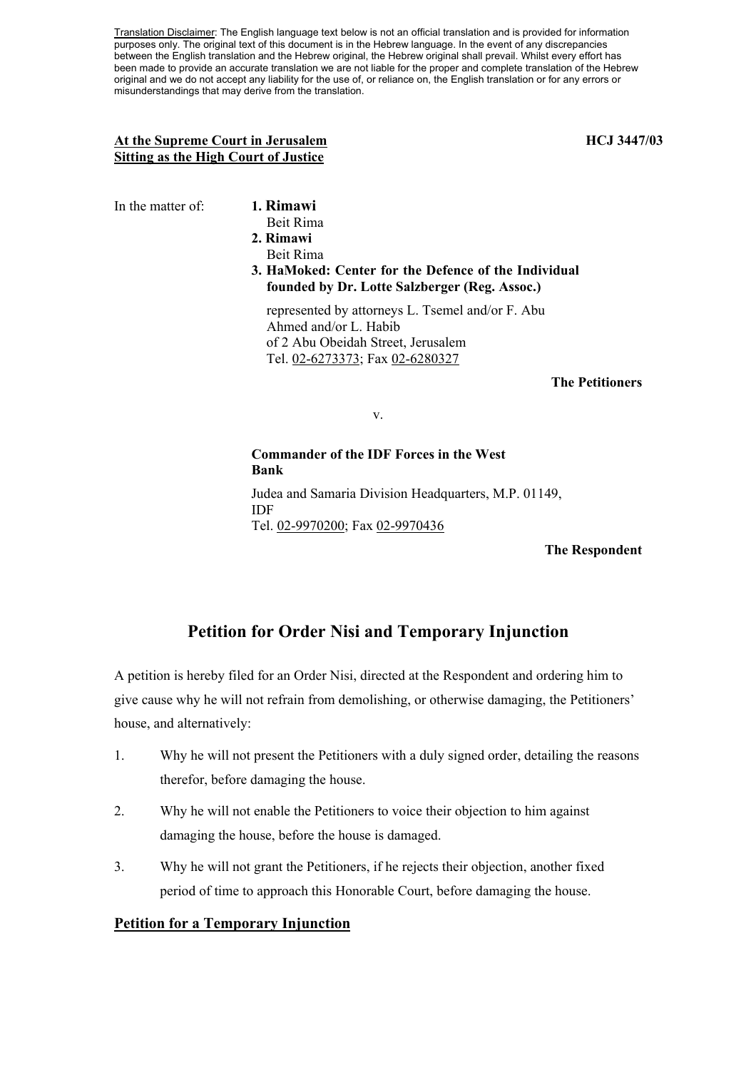Translation Disclaimer: The English language text below is not an official translation and is provided for information purposes only. The original text of this document is in the Hebrew language. In the event of any discrepancies between the English translation and the Hebrew original, the Hebrew original shall prevail. Whilst every effort has been made to provide an accurate translation we are not liable for the proper and complete translation of the Hebrew original and we do not accept any liability for the use of, or reliance on, the English translation or for any errors or misunderstandings that may derive from the translation.

#### At the Supreme Court in Jerusalem **HCJ** 3447/03 **Sitting as the High Court of Justice**

In the matter of: **1. Rimawi**

- 
- Beit Rima **2. Rimawi**
- Beit Rima
- **3. HaMoked: Center for the Defence of the Individual founded by Dr. Lotte Salzberger (Reg. Assoc.)**

represented by attorneys L. Tsemel and/or F. Abu Ahmed and/or L. Habib of 2 Abu Obeidah Street, Jerusalem Tel. 02-6273373; Fax 02-6280327

## **The Petitioners**

v.

**Commander of the IDF Forces in the West Bank**  Judea and Samaria Division Headquarters, M.P. 01149, IDF

Tel. 02-9970200; Fax 02-9970436

**The Respondent** 

# **Petition for Order Nisi and Temporary Injunction**

A petition is hereby filed for an Order Nisi, directed at the Respondent and ordering him to give cause why he will not refrain from demolishing, or otherwise damaging, the Petitioners' house, and alternatively:

- 1. Why he will not present the Petitioners with a duly signed order, detailing the reasons therefor, before damaging the house.
- 2. Why he will not enable the Petitioners to voice their objection to him against damaging the house, before the house is damaged.
- 3. Why he will not grant the Petitioners, if he rejects their objection, another fixed period of time to approach this Honorable Court, before damaging the house.

# **Petition for a Temporary Injunction**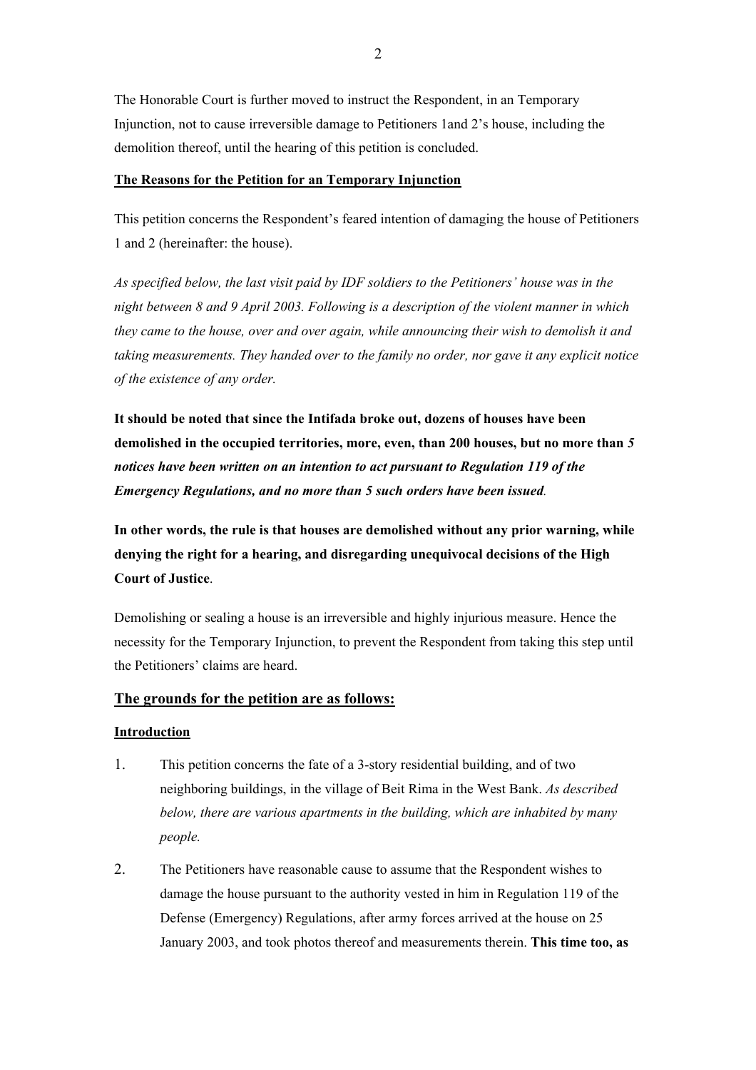The Honorable Court is further moved to instruct the Respondent, in an Temporary Injunction, not to cause irreversible damage to Petitioners 1and 2's house, including the demolition thereof, until the hearing of this petition is concluded.

#### **The Reasons for the Petition for an Temporary Injunction**

This petition concerns the Respondent's feared intention of damaging the house of Petitioners 1 and 2 (hereinafter: the house).

*As specified below, the last visit paid by IDF soldiers to the Petitioners' house was in the night between 8 and 9 April 2003. Following is a description of the violent manner in which they came to the house, over and over again, while announcing their wish to demolish it and taking measurements. They handed over to the family no order, nor gave it any explicit notice of the existence of any order.* 

**It should be noted that since the Intifada broke out, dozens of houses have been demolished in the occupied territories, more, even, than 200 houses, but no more than** *5 notices have been written on an intention to act pursuant to Regulation 119 of the Emergency Regulations, and no more than 5 such orders have been issued.* 

**In other words, the rule is that houses are demolished without any prior warning, while denying the right for a hearing, and disregarding unequivocal decisions of the High Court of Justice**.

Demolishing or sealing a house is an irreversible and highly injurious measure. Hence the necessity for the Temporary Injunction, to prevent the Respondent from taking this step until the Petitioners' claims are heard.

# **The grounds for the petition are as follows:**

## **Introduction**

- 1. This petition concerns the fate of a 3-story residential building, and of two neighboring buildings, in the village of Beit Rima in the West Bank. *As described below, there are various apartments in the building, which are inhabited by many people.*
- 2. The Petitioners have reasonable cause to assume that the Respondent wishes to damage the house pursuant to the authority vested in him in Regulation 119 of the Defense (Emergency) Regulations, after army forces arrived at the house on 25 January 2003, and took photos thereof and measurements therein. **This time too, as**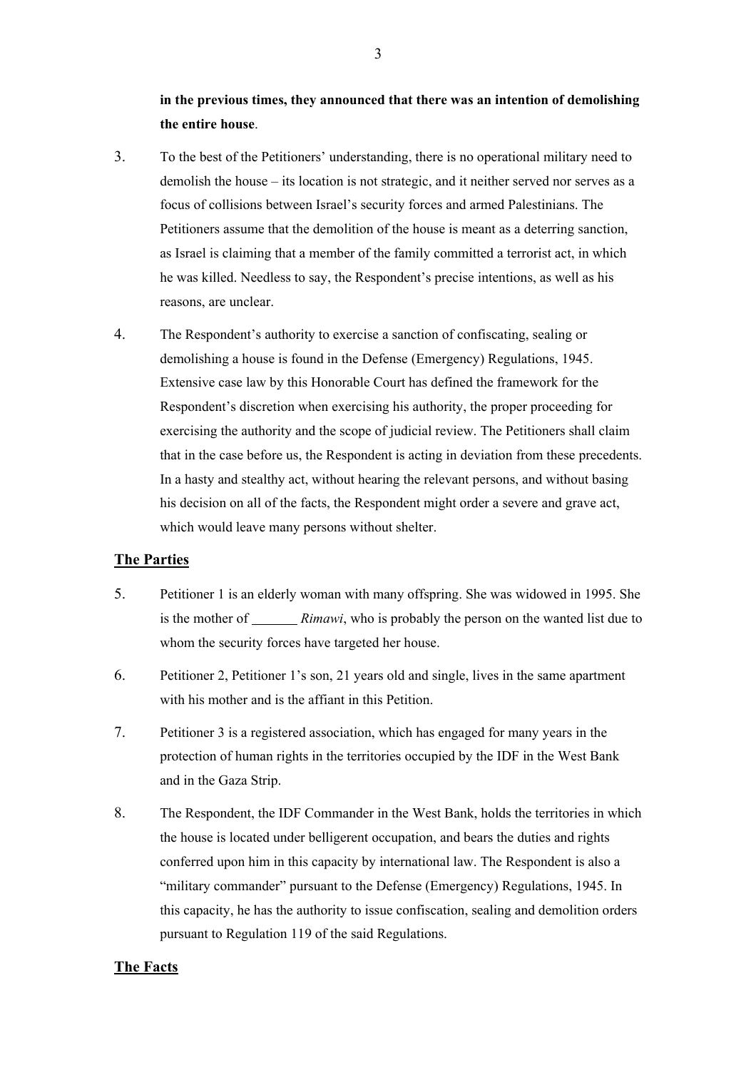**in the previous times, they announced that there was an intention of demolishing the entire house**.

- 3. To the best of the Petitioners' understanding, there is no operational military need to demolish the house – its location is not strategic, and it neither served nor serves as a focus of collisions between Israel's security forces and armed Palestinians. The Petitioners assume that the demolition of the house is meant as a deterring sanction, as Israel is claiming that a member of the family committed a terrorist act, in which he was killed. Needless to say, the Respondent's precise intentions, as well as his reasons, are unclear.
- 4. The Respondent's authority to exercise a sanction of confiscating, sealing or demolishing a house is found in the Defense (Emergency) Regulations, 1945. Extensive case law by this Honorable Court has defined the framework for the Respondent's discretion when exercising his authority, the proper proceeding for exercising the authority and the scope of judicial review. The Petitioners shall claim that in the case before us, the Respondent is acting in deviation from these precedents. In a hasty and stealthy act, without hearing the relevant persons, and without basing his decision on all of the facts, the Respondent might order a severe and grave act, which would leave many persons without shelter.

# **The Parties**

- 5. Petitioner 1 is an elderly woman with many offspring. She was widowed in 1995. She is the mother of *Rimawi*, who is probably the person on the wanted list due to whom the security forces have targeted her house.
- 6. Petitioner 2, Petitioner 1's son, 21 years old and single, lives in the same apartment with his mother and is the affiant in this Petition.
- 7. Petitioner 3 is a registered association, which has engaged for many years in the protection of human rights in the territories occupied by the IDF in the West Bank and in the Gaza Strip.
- 8. The Respondent, the IDF Commander in the West Bank, holds the territories in which the house is located under belligerent occupation, and bears the duties and rights conferred upon him in this capacity by international law. The Respondent is also a "military commander" pursuant to the Defense (Emergency) Regulations, 1945. In this capacity, he has the authority to issue confiscation, sealing and demolition orders pursuant to Regulation 119 of the said Regulations.

# **The Facts**

3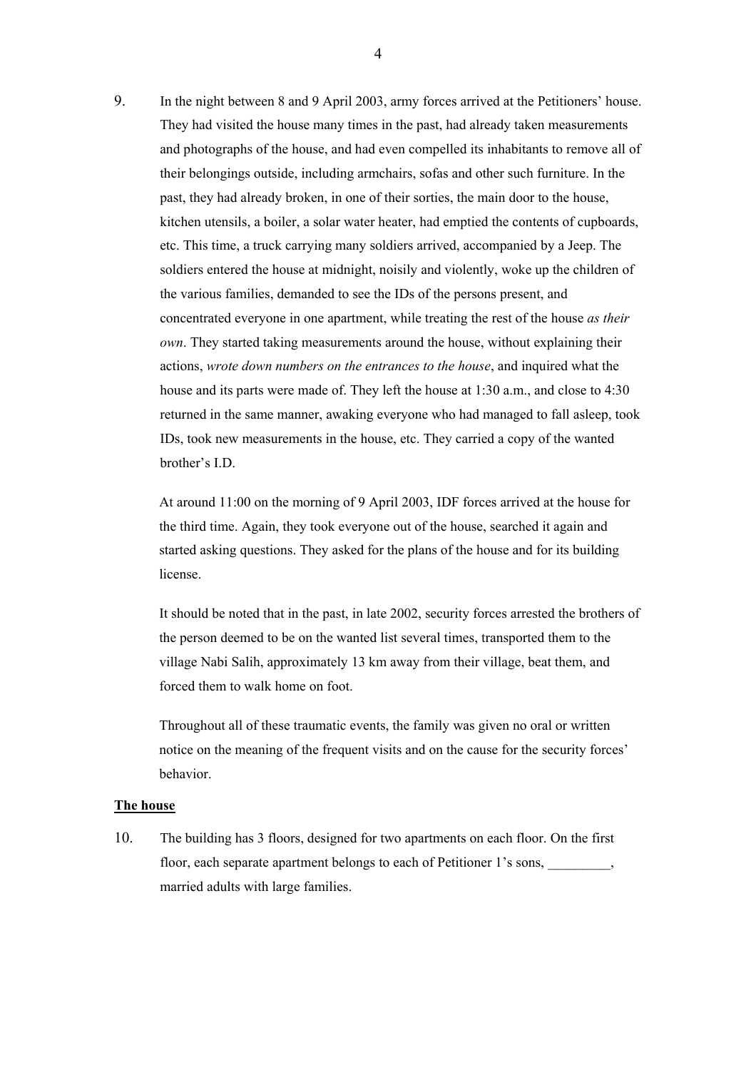9. In the night between 8 and 9 April 2003, army forces arrived at the Petitioners' house. They had visited the house many times in the past, had already taken measurements and photographs of the house, and had even compelled its inhabitants to remove all of their belongings outside, including armchairs, sofas and other such furniture. In the past, they had already broken, in one of their sorties, the main door to the house, kitchen utensils, a boiler, a solar water heater, had emptied the contents of cupboards, etc. This time, a truck carrying many soldiers arrived, accompanied by a Jeep. The soldiers entered the house at midnight, noisily and violently, woke up the children of the various families, demanded to see the IDs of the persons present, and concentrated everyone in one apartment, while treating the rest of the house *as their own*. They started taking measurements around the house, without explaining their actions, *wrote down numbers on the entrances to the house*, and inquired what the house and its parts were made of. They left the house at 1:30 a.m., and close to 4:30 returned in the same manner, awaking everyone who had managed to fall asleep, took IDs, took new measurements in the house, etc. They carried a copy of the wanted brother's I.D.

At around 11:00 on the morning of 9 April 2003, IDF forces arrived at the house for the third time. Again, they took everyone out of the house, searched it again and started asking questions. They asked for the plans of the house and for its building license.

It should be noted that in the past, in late 2002, security forces arrested the brothers of the person deemed to be on the wanted list several times, transported them to the village Nabi Salih, approximately 13 km away from their village, beat them, and forced them to walk home on foot.

Throughout all of these traumatic events, the family was given no oral or written notice on the meaning of the frequent visits and on the cause for the security forces' behavior.

#### **The house**

10. The building has 3 floors, designed for two apartments on each floor. On the first floor, each separate apartment belongs to each of Petitioner 1's sons, married adults with large families.

4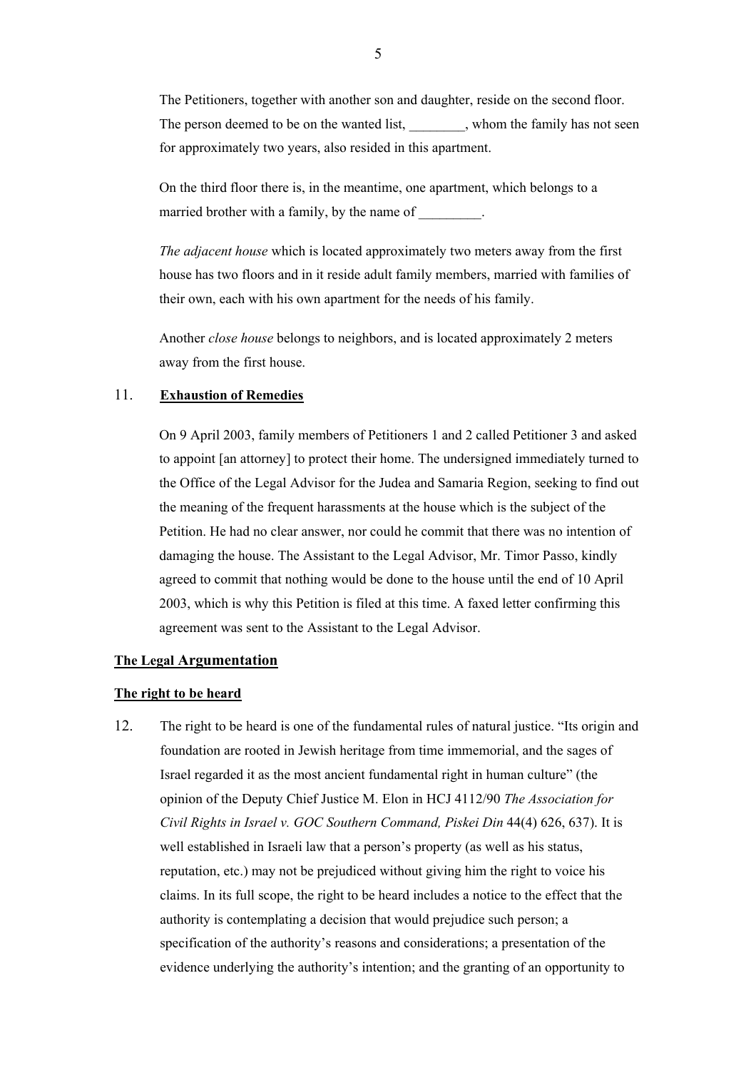The Petitioners, together with another son and daughter, reside on the second floor. The person deemed to be on the wanted list, whom the family has not seen for approximately two years, also resided in this apartment.

On the third floor there is, in the meantime, one apartment, which belongs to a married brother with a family, by the name of  $\blacksquare$ 

*The adjacent house* which is located approximately two meters away from the first house has two floors and in it reside adult family members, married with families of their own, each with his own apartment for the needs of his family.

Another *close house* belongs to neighbors, and is located approximately 2 meters away from the first house.

# 11. **Exhaustion of Remedies**

On 9 April 2003, family members of Petitioners 1 and 2 called Petitioner 3 and asked to appoint [an attorney] to protect their home. The undersigned immediately turned to the Office of the Legal Advisor for the Judea and Samaria Region, seeking to find out the meaning of the frequent harassments at the house which is the subject of the Petition. He had no clear answer, nor could he commit that there was no intention of damaging the house. The Assistant to the Legal Advisor, Mr. Timor Passo, kindly agreed to commit that nothing would be done to the house until the end of 10 April 2003, which is why this Petition is filed at this time. A faxed letter confirming this agreement was sent to the Assistant to the Legal Advisor.

# **The Legal Argumentation**

#### **The right to be heard**

12. The right to be heard is one of the fundamental rules of natural justice. "Its origin and foundation are rooted in Jewish heritage from time immemorial, and the sages of Israel regarded it as the most ancient fundamental right in human culture" (the opinion of the Deputy Chief Justice M. Elon in HCJ 4112/90 *The Association for Civil Rights in Israel v. GOC Southern Command, Piskei Din* 44(4) 626, 637). It is well established in Israeli law that a person's property (as well as his status, reputation, etc.) may not be prejudiced without giving him the right to voice his claims. In its full scope, the right to be heard includes a notice to the effect that the authority is contemplating a decision that would prejudice such person; a specification of the authority's reasons and considerations; a presentation of the evidence underlying the authority's intention; and the granting of an opportunity to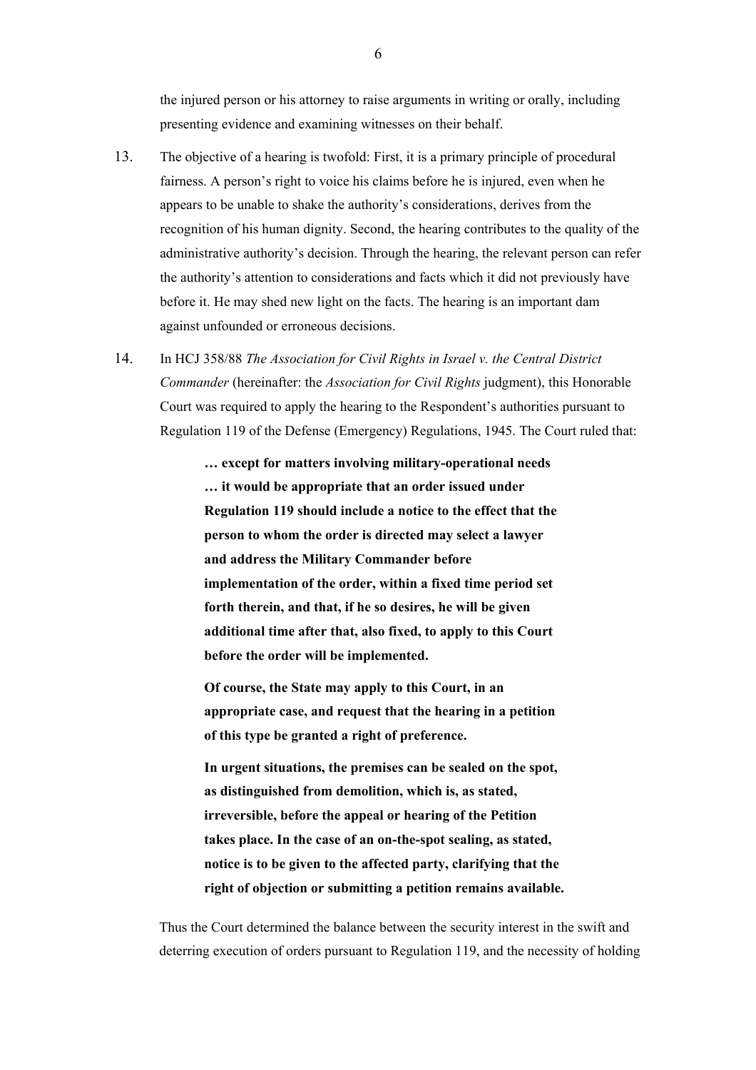the injured person or his attorney to raise arguments in writing or orally, including presenting evidence and examining witnesses on their behalf.

- 13. The objective of a hearing is twofold: First, it is a primary principle of procedural fairness. A person's right to voice his claims before he is injured, even when he appears to be unable to shake the authority's considerations, derives from the recognition of his human dignity. Second, the hearing contributes to the quality of the administrative authority's decision. Through the hearing, the relevant person can refer the authority's attention to considerations and facts which it did not previously have before it. He may shed new light on the facts. The hearing is an important dam against unfounded or erroneous decisions.
- 14. In HCJ 358/88 *The Association for Civil Rights in Israel v. the Central District Commander* (hereinafter: the *Association for Civil Rights* judgment), this Honorable Court was required to apply the hearing to the Respondent's authorities pursuant to Regulation 119 of the Defense (Emergency) Regulations, 1945. The Court ruled that:

**… except for matters involving military-operational needs … it would be appropriate that an order issued under Regulation 119 should include a notice to the effect that the person to whom the order is directed may select a lawyer and address the Military Commander before implementation of the order, within a fixed time period set forth therein, and that, if he so desires, he will be given additional time after that, also fixed, to apply to this Court before the order will be implemented.** 

**Of course, the State may apply to this Court, in an appropriate case, and request that the hearing in a petition of this type be granted a right of preference.** 

**In urgent situations, the premises can be sealed on the spot, as distinguished from demolition, which is, as stated, irreversible, before the appeal or hearing of the Petition takes place. In the case of an on-the-spot sealing, as stated, notice is to be given to the affected party, clarifying that the right of objection or submitting a petition remains available.** 

Thus the Court determined the balance between the security interest in the swift and deterring execution of orders pursuant to Regulation 119, and the necessity of holding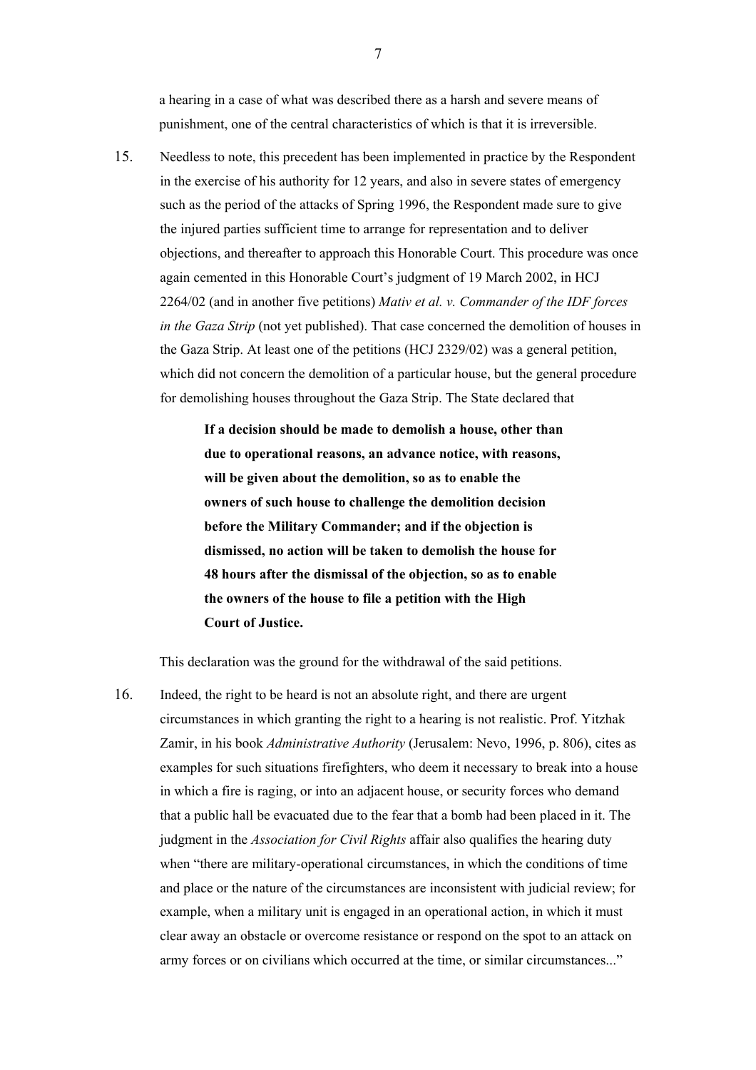a hearing in a case of what was described there as a harsh and severe means of punishment, one of the central characteristics of which is that it is irreversible.

15. Needless to note, this precedent has been implemented in practice by the Respondent in the exercise of his authority for 12 years, and also in severe states of emergency such as the period of the attacks of Spring 1996, the Respondent made sure to give the injured parties sufficient time to arrange for representation and to deliver objections, and thereafter to approach this Honorable Court. This procedure was once again cemented in this Honorable Court's judgment of 19 March 2002, in HCJ 2264/02 (and in another five petitions) *Mativ et al. v. Commander of the IDF forces in the Gaza Strip* (not yet published). That case concerned the demolition of houses in the Gaza Strip. At least one of the petitions (HCJ 2329/02) was a general petition, which did not concern the demolition of a particular house, but the general procedure for demolishing houses throughout the Gaza Strip. The State declared that

> **If a decision should be made to demolish a house, other than due to operational reasons, an advance notice, with reasons, will be given about the demolition, so as to enable the owners of such house to challenge the demolition decision before the Military Commander; and if the objection is dismissed, no action will be taken to demolish the house for 48 hours after the dismissal of the objection, so as to enable the owners of the house to file a petition with the High Court of Justice.**

This declaration was the ground for the withdrawal of the said petitions.

16. Indeed, the right to be heard is not an absolute right, and there are urgent circumstances in which granting the right to a hearing is not realistic. Prof. Yitzhak Zamir, in his book *Administrative Authority* (Jerusalem: Nevo, 1996, p. 806), cites as examples for such situations firefighters, who deem it necessary to break into a house in which a fire is raging, or into an adjacent house, or security forces who demand that a public hall be evacuated due to the fear that a bomb had been placed in it. The judgment in the *Association for Civil Rights* affair also qualifies the hearing duty when "there are military-operational circumstances, in which the conditions of time and place or the nature of the circumstances are inconsistent with judicial review; for example, when a military unit is engaged in an operational action, in which it must clear away an obstacle or overcome resistance or respond on the spot to an attack on army forces or on civilians which occurred at the time, or similar circumstances..."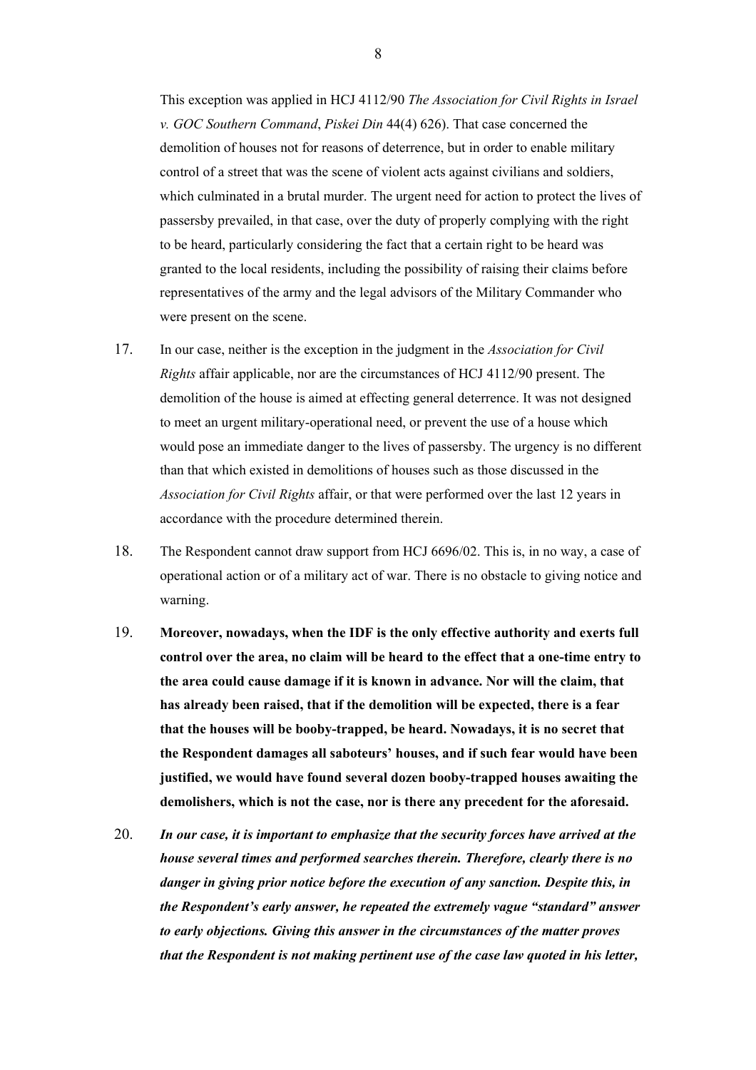This exception was applied in HCJ 4112/90 *The Association for Civil Rights in Israel v. GOC Southern Command*, *Piskei Din* 44(4) 626). That case concerned the demolition of houses not for reasons of deterrence, but in order to enable military control of a street that was the scene of violent acts against civilians and soldiers, which culminated in a brutal murder. The urgent need for action to protect the lives of passersby prevailed, in that case, over the duty of properly complying with the right to be heard, particularly considering the fact that a certain right to be heard was granted to the local residents, including the possibility of raising their claims before representatives of the army and the legal advisors of the Military Commander who were present on the scene.

- 17. In our case, neither is the exception in the judgment in the *Association for Civil Rights* affair applicable, nor are the circumstances of HCJ 4112/90 present. The demolition of the house is aimed at effecting general deterrence. It was not designed to meet an urgent military-operational need, or prevent the use of a house which would pose an immediate danger to the lives of passersby. The urgency is no different than that which existed in demolitions of houses such as those discussed in the *Association for Civil Rights* affair, or that were performed over the last 12 years in accordance with the procedure determined therein.
- 18. The Respondent cannot draw support from HCJ 6696/02. This is, in no way, a case of operational action or of a military act of war. There is no obstacle to giving notice and warning.
- 19. **Moreover, nowadays, when the IDF is the only effective authority and exerts full control over the area, no claim will be heard to the effect that a one-time entry to the area could cause damage if it is known in advance. Nor will the claim, that has already been raised, that if the demolition will be expected, there is a fear that the houses will be booby-trapped, be heard. Nowadays, it is no secret that the Respondent damages all saboteurs' houses, and if such fear would have been justified, we would have found several dozen booby-trapped houses awaiting the demolishers, which is not the case, nor is there any precedent for the aforesaid.**
- 20. *In our case, it is important to emphasize that the security forces have arrived at the house several times and performed searches therein. Therefore, clearly there is no danger in giving prior notice before the execution of any sanction. Despite this, in the Respondent's early answer, he repeated the extremely vague "standard" answer to early objections. Giving this answer in the circumstances of the matter proves that the Respondent is not making pertinent use of the case law quoted in his letter,*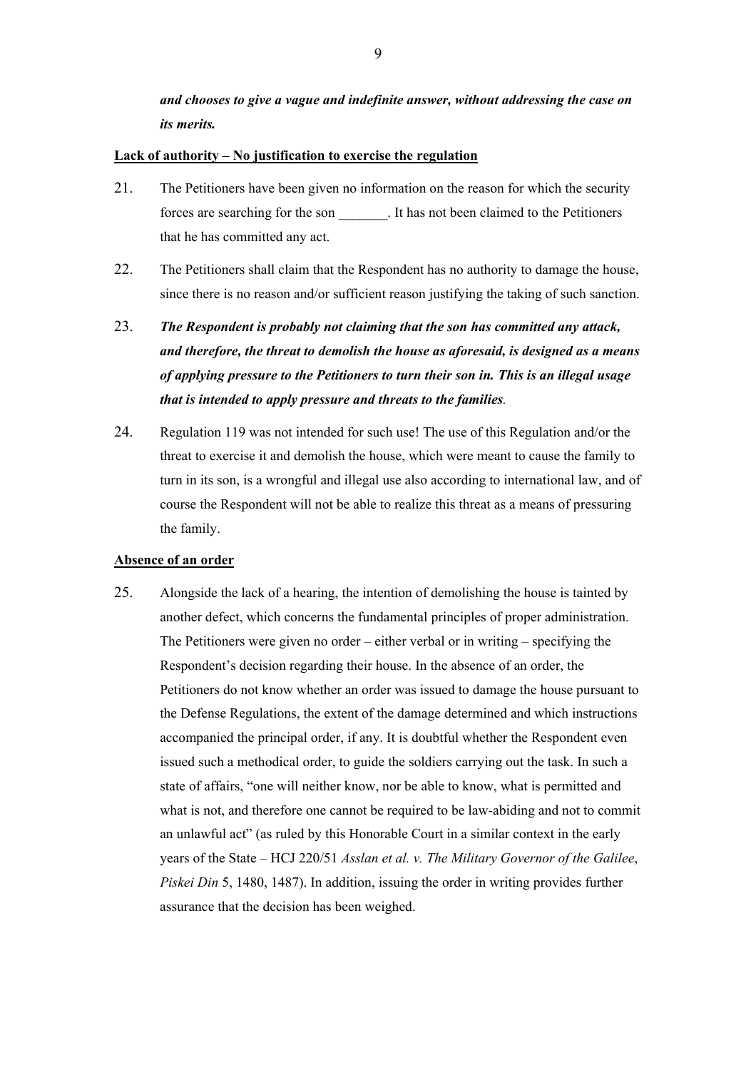*and chooses to give a vague and indefinite answer, without addressing the case on its merits.*

#### **Lack of authority – No justification to exercise the regulation**

- 21. The Petitioners have been given no information on the reason for which the security forces are searching for the son \_\_\_\_\_\_\_. It has not been claimed to the Petitioners that he has committed any act.
- 22. The Petitioners shall claim that the Respondent has no authority to damage the house, since there is no reason and/or sufficient reason justifying the taking of such sanction.
- 23. *The Respondent is probably not claiming that the son has committed any attack, and therefore, the threat to demolish the house as aforesaid, is designed as a means of applying pressure to the Petitioners to turn their son in. This is an illegal usage that is intended to apply pressure and threats to the families.*
- 24. Regulation 119 was not intended for such use! The use of this Regulation and/or the threat to exercise it and demolish the house, which were meant to cause the family to turn in its son, is a wrongful and illegal use also according to international law, and of course the Respondent will not be able to realize this threat as a means of pressuring the family.

#### **Absence of an order**

25. Alongside the lack of a hearing, the intention of demolishing the house is tainted by another defect, which concerns the fundamental principles of proper administration. The Petitioners were given no order – either verbal or in writing – specifying the Respondent's decision regarding their house. In the absence of an order, the Petitioners do not know whether an order was issued to damage the house pursuant to the Defense Regulations, the extent of the damage determined and which instructions accompanied the principal order, if any. It is doubtful whether the Respondent even issued such a methodical order, to guide the soldiers carrying out the task. In such a state of affairs, "one will neither know, nor be able to know, what is permitted and what is not, and therefore one cannot be required to be law-abiding and not to commit an unlawful act" (as ruled by this Honorable Court in a similar context in the early years of the State – HCJ 220/51 *Asslan et al. v. The Military Governor of the Galilee*, *Piskei Din* 5, 1480, 1487). In addition, issuing the order in writing provides further assurance that the decision has been weighed.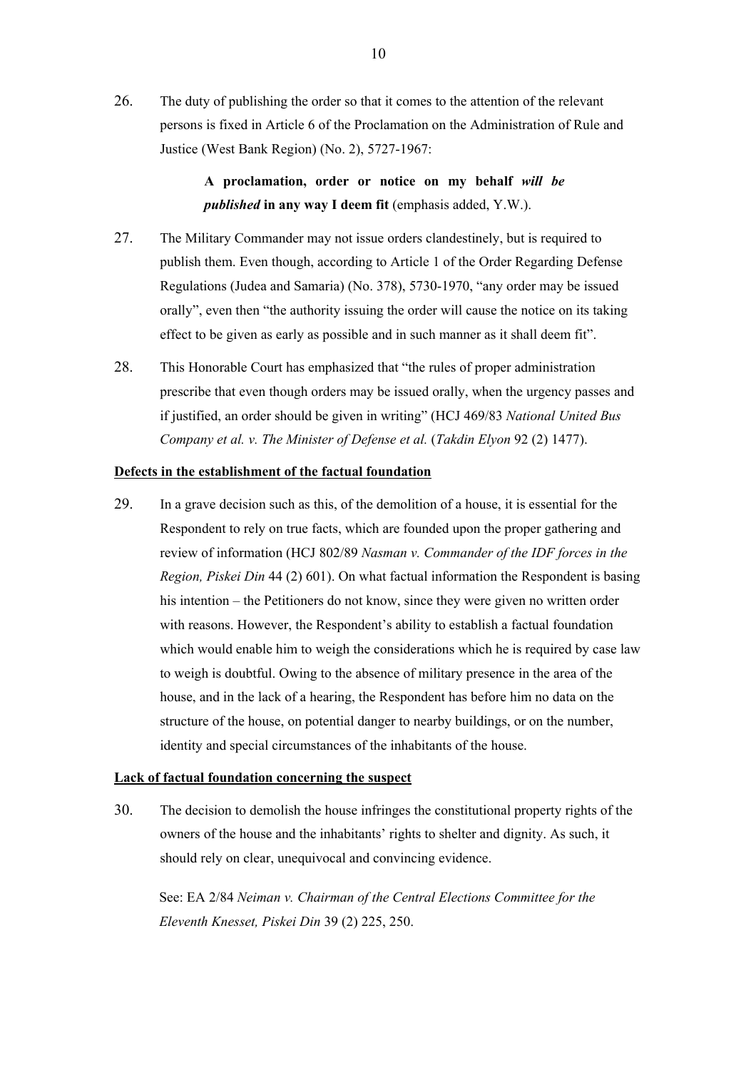26. The duty of publishing the order so that it comes to the attention of the relevant persons is fixed in Article 6 of the Proclamation on the Administration of Rule and Justice (West Bank Region) (No. 2), 5727-1967:

> **A proclamation, order or notice on my behalf** *will be published* **in any way I deem fit** (emphasis added, Y.W.).

- 27. The Military Commander may not issue orders clandestinely, but is required to publish them. Even though, according to Article 1 of the Order Regarding Defense Regulations (Judea and Samaria) (No. 378), 5730-1970, "any order may be issued orally", even then "the authority issuing the order will cause the notice on its taking effect to be given as early as possible and in such manner as it shall deem fit".
- 28. This Honorable Court has emphasized that "the rules of proper administration prescribe that even though orders may be issued orally, when the urgency passes and if justified, an order should be given in writing" (HCJ 469/83 *National United Bus Company et al. v. The Minister of Defense et al.* (*Takdin Elyon* 92 (2) 1477).

## **Defects in the establishment of the factual foundation**

29. In a grave decision such as this, of the demolition of a house, it is essential for the Respondent to rely on true facts, which are founded upon the proper gathering and review of information (HCJ 802/89 *Nasman v. Commander of the IDF forces in the Region, Piskei Din* 44 (2) 601). On what factual information the Respondent is basing his intention – the Petitioners do not know, since they were given no written order with reasons. However, the Respondent's ability to establish a factual foundation which would enable him to weigh the considerations which he is required by case law to weigh is doubtful. Owing to the absence of military presence in the area of the house, and in the lack of a hearing, the Respondent has before him no data on the structure of the house, on potential danger to nearby buildings, or on the number, identity and special circumstances of the inhabitants of the house.

#### **Lack of factual foundation concerning the suspect**

30. The decision to demolish the house infringes the constitutional property rights of the owners of the house and the inhabitants' rights to shelter and dignity. As such, it should rely on clear, unequivocal and convincing evidence.

See: EA 2/84 *Neiman v. Chairman of the Central Elections Committee for the Eleventh Knesset, Piskei Din* 39 (2) 225, 250.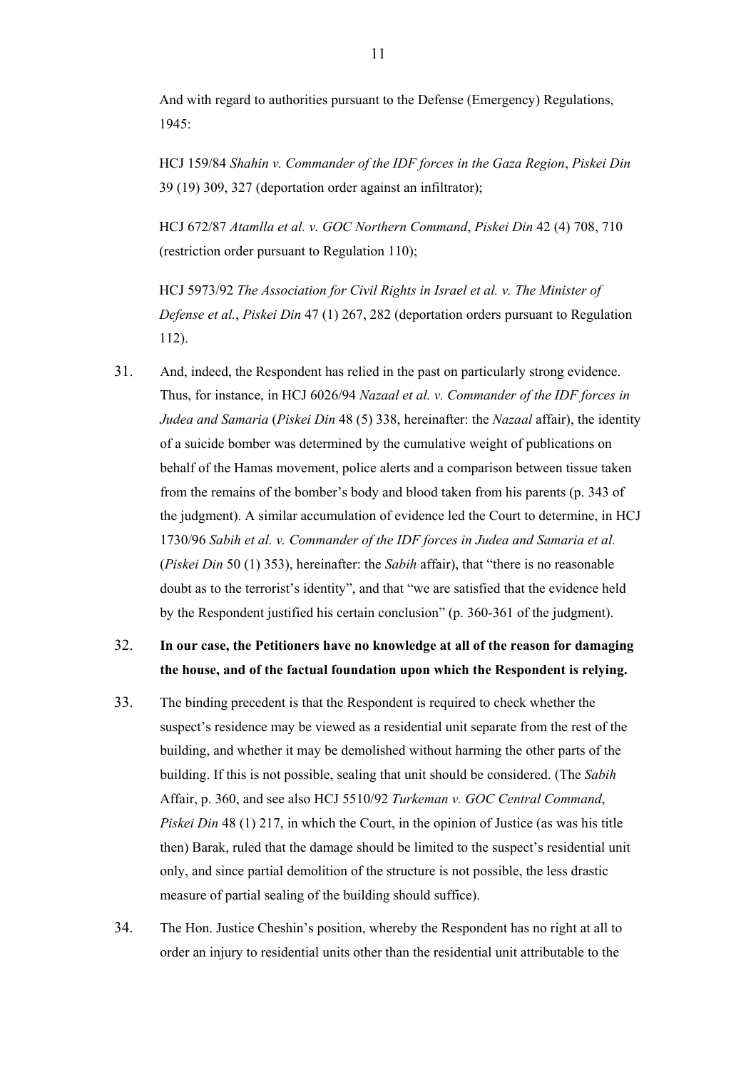And with regard to authorities pursuant to the Defense (Emergency) Regulations, 1945:

HCJ 159/84 *Shahin v. Commander of the IDF forces in the Gaza Region*, *Piskei Din* 39 (19) 309, 327 (deportation order against an infiltrator);

HCJ 672/87 *Atamlla et al. v. GOC Northern Command*, *Piskei Din* 42 (4) 708, 710 (restriction order pursuant to Regulation 110);

HCJ 5973/92 *The Association for Civil Rights in Israel et al. v. The Minister of Defense et al.*, *Piskei Din* 47 (1) 267, 282 (deportation orders pursuant to Regulation 112).

31. And, indeed, the Respondent has relied in the past on particularly strong evidence. Thus, for instance, in HCJ 6026/94 *Nazaal et al. v. Commander of the IDF forces in Judea and Samaria* (*Piskei Din* 48 (5) 338, hereinafter: the *Nazaal* affair), the identity of a suicide bomber was determined by the cumulative weight of publications on behalf of the Hamas movement, police alerts and a comparison between tissue taken from the remains of the bomber's body and blood taken from his parents (p. 343 of the judgment). A similar accumulation of evidence led the Court to determine, in HCJ 1730/96 *Sabih et al. v. Commander of the IDF forces in Judea and Samaria et al.* (*Piskei Din* 50 (1) 353), hereinafter: the *Sabih* affair), that "there is no reasonable doubt as to the terrorist's identity", and that "we are satisfied that the evidence held by the Respondent justified his certain conclusion" (p. 360-361 of the judgment).

# 32. **In our case, the Petitioners have no knowledge at all of the reason for damaging the house, and of the factual foundation upon which the Respondent is relying.**

- 33. The binding precedent is that the Respondent is required to check whether the suspect's residence may be viewed as a residential unit separate from the rest of the building, and whether it may be demolished without harming the other parts of the building. If this is not possible, sealing that unit should be considered. (The *Sabih* Affair, p. 360, and see also HCJ 5510/92 *Turkeman v. GOC Central Command*, *Piskei Din* 48 (1) 217, in which the Court, in the opinion of Justice (as was his title then) Barak, ruled that the damage should be limited to the suspect's residential unit only, and since partial demolition of the structure is not possible, the less drastic measure of partial sealing of the building should suffice).
- 34. The Hon. Justice Cheshin's position, whereby the Respondent has no right at all to order an injury to residential units other than the residential unit attributable to the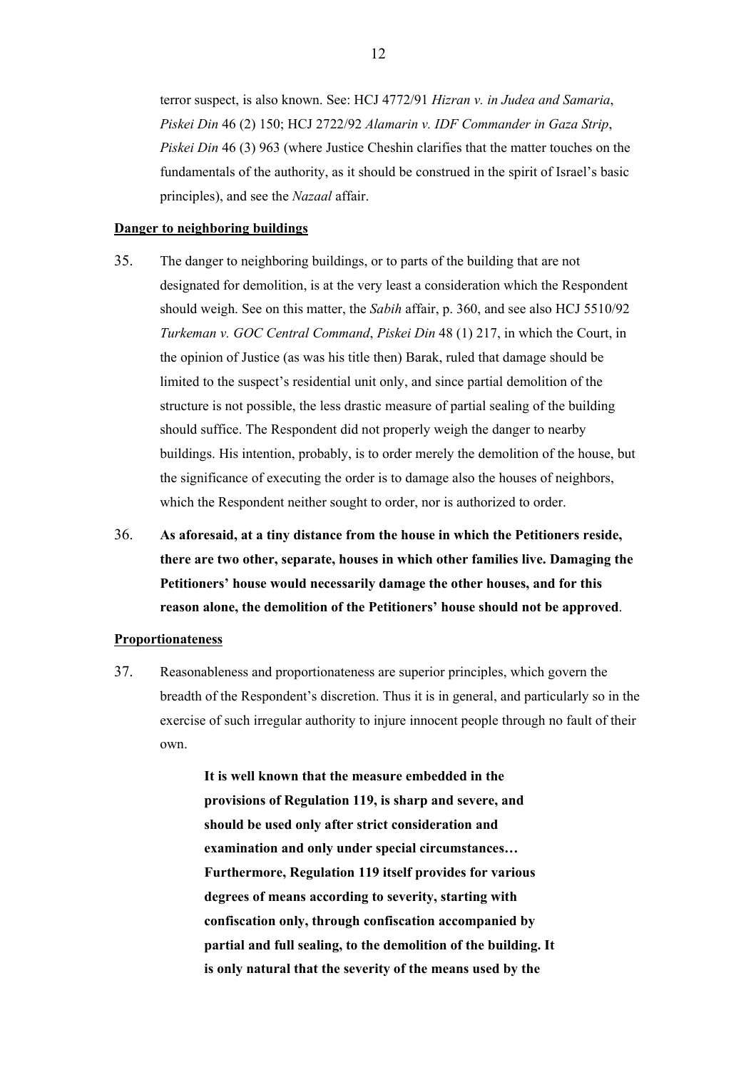terror suspect, is also known. See: HCJ 4772/91 *Hizran v. in Judea and Samaria*, *Piskei Din* 46 (2) 150; HCJ 2722/92 *Alamarin v. IDF Commander in Gaza Strip*, *Piskei Din* 46 (3) 963 (where Justice Cheshin clarifies that the matter touches on the fundamentals of the authority, as it should be construed in the spirit of Israel's basic principles), and see the *Nazaal* affair.

#### **Danger to neighboring buildings**

- 35. The danger to neighboring buildings, or to parts of the building that are not designated for demolition, is at the very least a consideration which the Respondent should weigh. See on this matter, the *Sabih* affair, p. 360, and see also HCJ 5510/92 *Turkeman v. GOC Central Command*, *Piskei Din* 48 (1) 217, in which the Court, in the opinion of Justice (as was his title then) Barak, ruled that damage should be limited to the suspect's residential unit only, and since partial demolition of the structure is not possible, the less drastic measure of partial sealing of the building should suffice. The Respondent did not properly weigh the danger to nearby buildings. His intention, probably, is to order merely the demolition of the house, but the significance of executing the order is to damage also the houses of neighbors, which the Respondent neither sought to order, nor is authorized to order.
- 36. **As aforesaid, at a tiny distance from the house in which the Petitioners reside, there are two other, separate, houses in which other families live. Damaging the Petitioners' house would necessarily damage the other houses, and for this reason alone, the demolition of the Petitioners' house should not be approved**.

# **Proportionateness**

37. Reasonableness and proportionateness are superior principles, which govern the breadth of the Respondent's discretion. Thus it is in general, and particularly so in the exercise of such irregular authority to injure innocent people through no fault of their own.

> **It is well known that the measure embedded in the provisions of Regulation 119, is sharp and severe, and should be used only after strict consideration and examination and only under special circumstances… Furthermore, Regulation 119 itself provides for various degrees of means according to severity, starting with confiscation only, through confiscation accompanied by partial and full sealing, to the demolition of the building. It is only natural that the severity of the means used by the**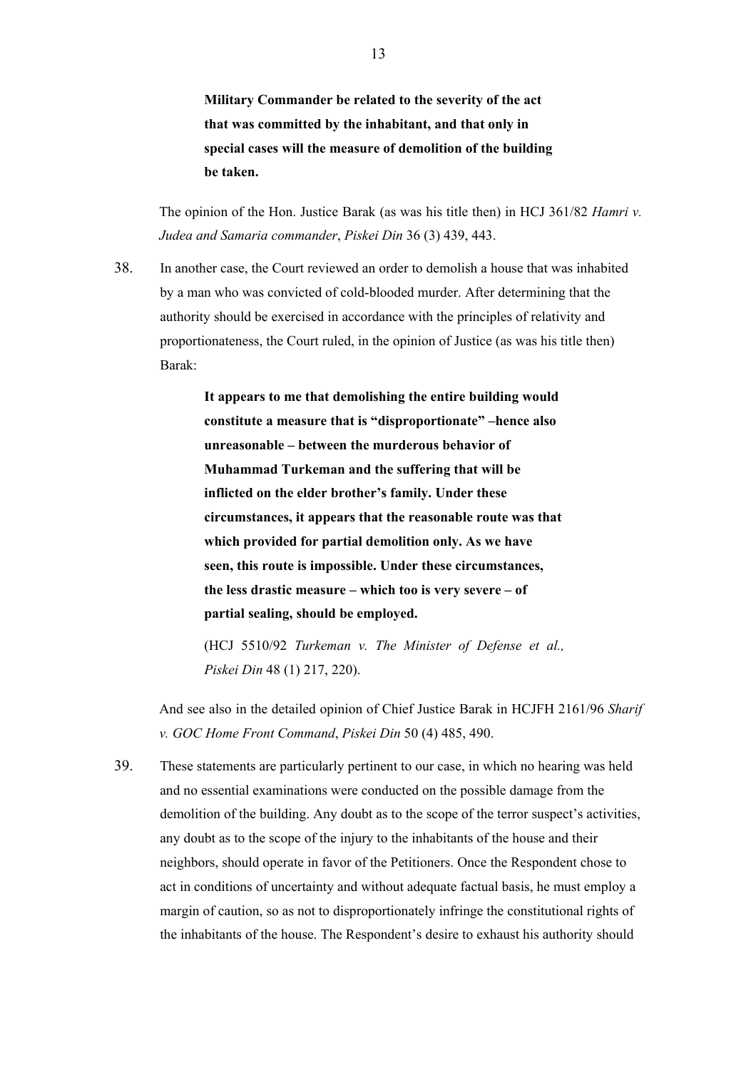**Military Commander be related to the severity of the act that was committed by the inhabitant, and that only in special cases will the measure of demolition of the building be taken.**

 The opinion of the Hon. Justice Barak (as was his title then) in HCJ 361/82 *Hamri v. Judea and Samaria commander*, *Piskei Din* 36 (3) 439, 443.

38. In another case, the Court reviewed an order to demolish a house that was inhabited by a man who was convicted of cold-blooded murder. After determining that the authority should be exercised in accordance with the principles of relativity and proportionateness, the Court ruled, in the opinion of Justice (as was his title then) Barak:

> **It appears to me that demolishing the entire building would constitute a measure that is "disproportionate" –hence also unreasonable – between the murderous behavior of Muhammad Turkeman and the suffering that will be inflicted on the elder brother's family. Under these circumstances, it appears that the reasonable route was that which provided for partial demolition only. As we have seen, this route is impossible. Under these circumstances, the less drastic measure – which too is very severe – of partial sealing, should be employed.**

> (HCJ 5510/92 *Turkeman v. The Minister of Defense et al., Piskei Din* 48 (1) 217, 220).

 And see also in the detailed opinion of Chief Justice Barak in HCJFH 2161/96 *Sharif v. GOC Home Front Command*, *Piskei Din* 50 (4) 485, 490.

39. These statements are particularly pertinent to our case, in which no hearing was held and no essential examinations were conducted on the possible damage from the demolition of the building. Any doubt as to the scope of the terror suspect's activities, any doubt as to the scope of the injury to the inhabitants of the house and their neighbors, should operate in favor of the Petitioners. Once the Respondent chose to act in conditions of uncertainty and without adequate factual basis, he must employ a margin of caution, so as not to disproportionately infringe the constitutional rights of the inhabitants of the house. The Respondent's desire to exhaust his authority should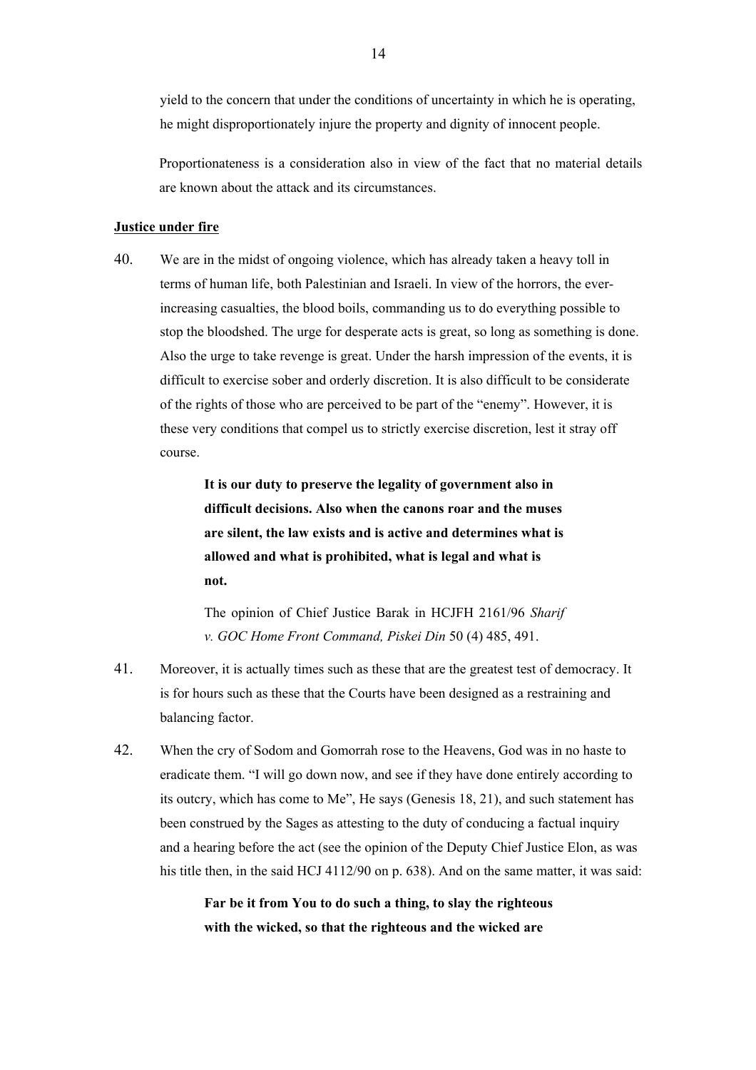yield to the concern that under the conditions of uncertainty in which he is operating, he might disproportionately injure the property and dignity of innocent people.

Proportionateness is a consideration also in view of the fact that no material details are known about the attack and its circumstances.

#### **Justice under fire**

40. We are in the midst of ongoing violence, which has already taken a heavy toll in terms of human life, both Palestinian and Israeli. In view of the horrors, the everincreasing casualties, the blood boils, commanding us to do everything possible to stop the bloodshed. The urge for desperate acts is great, so long as something is done. Also the urge to take revenge is great. Under the harsh impression of the events, it is difficult to exercise sober and orderly discretion. It is also difficult to be considerate of the rights of those who are perceived to be part of the "enemy". However, it is these very conditions that compel us to strictly exercise discretion, lest it stray off course.

> **It is our duty to preserve the legality of government also in difficult decisions. Also when the canons roar and the muses are silent, the law exists and is active and determines what is allowed and what is prohibited, what is legal and what is not.**

> The opinion of Chief Justice Barak in HCJFH 2161/96 *Sharif v. GOC Home Front Command, Piskei Din* 50 (4) 485, 491.

- 41. Moreover, it is actually times such as these that are the greatest test of democracy. It is for hours such as these that the Courts have been designed as a restraining and balancing factor.
- 42. When the cry of Sodom and Gomorrah rose to the Heavens, God was in no haste to eradicate them. "I will go down now, and see if they have done entirely according to its outcry, which has come to Me", He says (Genesis 18, 21), and such statement has been construed by the Sages as attesting to the duty of conducing a factual inquiry and a hearing before the act (see the opinion of the Deputy Chief Justice Elon, as was his title then, in the said HCJ 4112/90 on p. 638). And on the same matter, it was said:

**Far be it from You to do such a thing, to slay the righteous with the wicked, so that the righteous and the wicked are**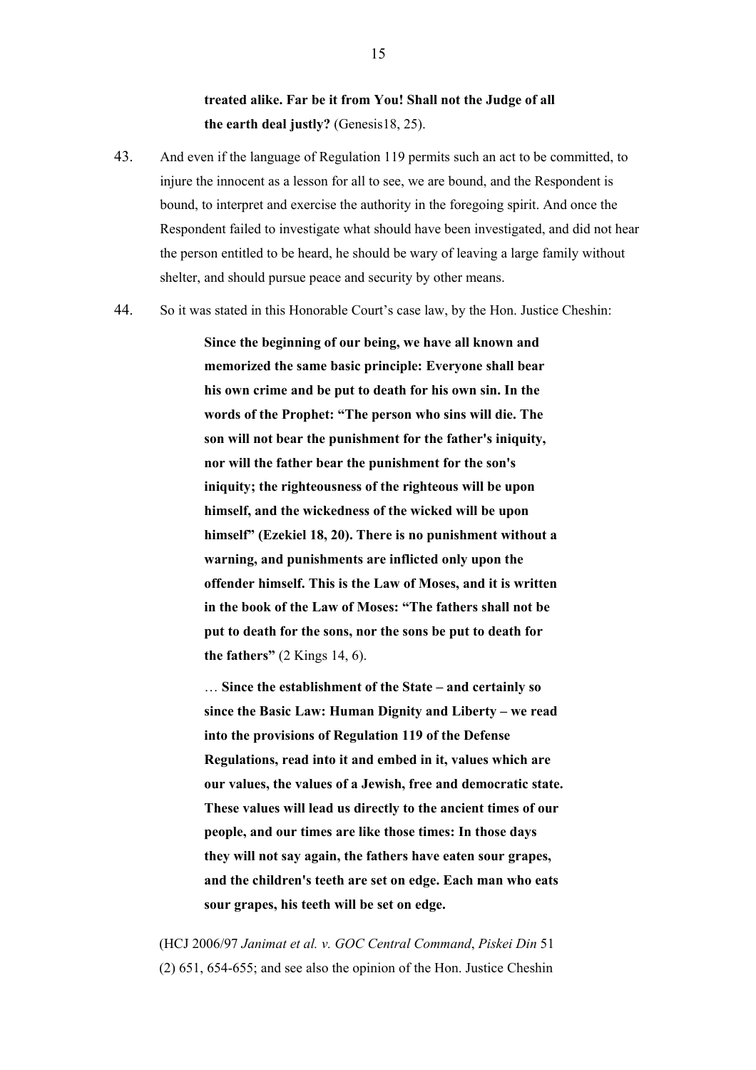# **treated alike. Far be it from You! Shall not the Judge of all the earth deal justly?** (Genesis18, 25).

- 43. And even if the language of Regulation 119 permits such an act to be committed, to injure the innocent as a lesson for all to see, we are bound, and the Respondent is bound, to interpret and exercise the authority in the foregoing spirit. And once the Respondent failed to investigate what should have been investigated, and did not hear the person entitled to be heard, he should be wary of leaving a large family without shelter, and should pursue peace and security by other means.
- 44. So it was stated in this Honorable Court's case law, by the Hon. Justice Cheshin:

**Since the beginning of our being, we have all known and memorized the same basic principle: Everyone shall bear his own crime and be put to death for his own sin. In the words of the Prophet: "The person who sins will die. The son will not bear the punishment for the father's iniquity, nor will the father bear the punishment for the son's iniquity; the righteousness of the righteous will be upon himself, and the wickedness of the wicked will be upon himself" (Ezekiel 18, 20). There is no punishment without a warning, and punishments are inflicted only upon the offender himself. This is the Law of Moses, and it is written in the book of the Law of Moses: "The fathers shall not be put to death for the sons, nor the sons be put to death for the fathers"** (2 Kings 14, 6).

… **Since the establishment of the State – and certainly so since the Basic Law: Human Dignity and Liberty – we read into the provisions of Regulation 119 of the Defense Regulations, read into it and embed in it, values which are our values, the values of a Jewish, free and democratic state. These values will lead us directly to the ancient times of our people, and our times are like those times: In those days they will not say again, the fathers have eaten sour grapes, and the children's teeth are set on edge. Each man who eats sour grapes, his teeth will be set on edge.**

(HCJ 2006/97 *Janimat et al. v. GOC Central Command*, *Piskei Din* 51 (2) 651, 654-655; and see also the opinion of the Hon. Justice Cheshin